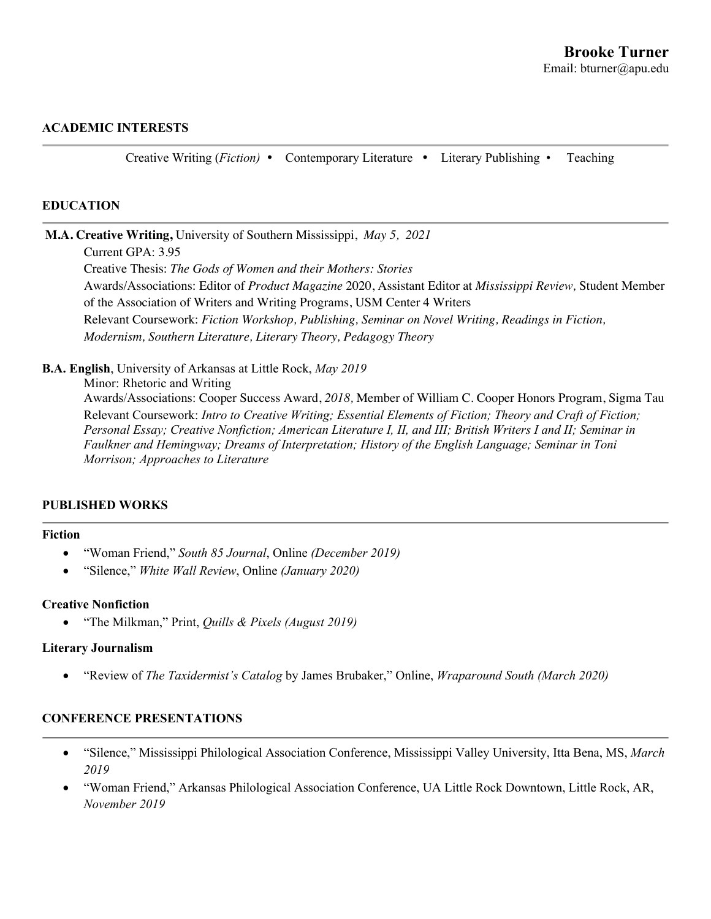## **ACADEMIC INTERESTS**

Creative Writing (*Fiction)*  Contemporary Literature Literary Publishing • Teaching

#### **EDUCATION**

**M.A. Creative Writing,** University of Southern Mississippi, *May 5, 2021*

Current GPA: 3.95

Creative Thesis: *The Gods of Women and their Mothers: Stories* Awards/Associations: Editor of *Product Magazine* 2020, Assistant Editor at *Mississippi Review,* Student Member of the Association of Writers and Writing Programs, USM Center 4 Writers Relevant Coursework: *Fiction Workshop, Publishing, Seminar on Novel Writing, Readings in Fiction, Modernism, Southern Literature, Literary Theory, Pedagogy Theory*

**B.A. English**, University of Arkansas at Little Rock, *May 2019*

Minor: Rhetoric and Writing Awards/Associations: Cooper Success Award, *2018,* Member of William C. Cooper Honors Program, Sigma Tau Relevant Coursework: *Intro to Creative Writing; Essential Elements of Fiction; Theory and Craft of Fiction; Personal Essay; Creative Nonfiction; American Literature I, II, and III; British Writers I and II; Seminar in Faulkner and Hemingway; Dreams of Interpretation; History of the English Language; Seminar in Toni Morrison; Approaches to Literature*

#### **PUBLISHED WORKS**

#### **Fiction**

- "Woman Friend," *South 85 Journal*, Online *(December 2019)*
- "Silence," *White Wall Review*, Online *(January 2020)*

#### **Creative Nonfiction**

• "The Milkman," Print, *Quills & Pixels (August 2019)*

#### **Literary Journalism**

• "Review of *The Taxidermist's Catalog* by James Brubaker," Online, *Wraparound South (March 2020)*

# **CONFERENCE PRESENTATIONS**

- "Silence," Mississippi Philological Association Conference, Mississippi Valley University, Itta Bena, MS, *March 2019*
- "Woman Friend," Arkansas Philological Association Conference, UA Little Rock Downtown, Little Rock, AR, *November 2019*